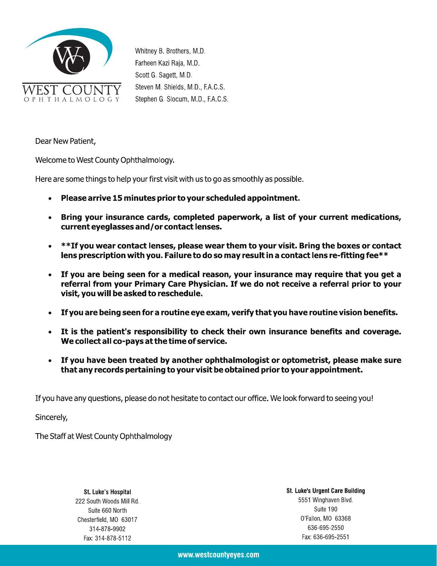

Whitney B. Brothers, M.D. Farheen Kazi Raja, M.D. Scott G. Sagett, M.D. Steven M. Shields, M.D., F.A.C.S. Stephen G. Slocum, M.D., F.A.C.S.

Dear New Patient,

Welcome to West County Ophthalmology.

Here are some things to help your first visit with us to go as smoothly as possible.

- Please arrive 15 minutes prior to your scheduled appointment.  $\bullet$
- Bring your insurance cards, completed paperwork, a list of your current medications,  $\bullet$ current eyeglasses and/or contact lenses.
- \*\*If you wear contact lenses, please wear them to your visit. Bring the boxes or contact  $\bullet$ lens prescription with you. Failure to do so may result in a contact lens re-fitting fee\*\*
- If you are being seen for a medical reason, your insurance may require that you get a referral from your Primary Care Physician. If we do not receive a referral prior to your visit, you will be asked to reschedule.
- If you are being seen for a routine eye exam, verify that you have routine vision benefits.  $\bullet$
- It is the patient's responsibility to check their own insurance benefits and coverage.  $\bullet$ We collect all co-pays at the time of service.
- If you have been treated by another ophthalmologist or optometrist, please make sure that any records pertaining to your visit be obtained prior to your appointment.

If you have any questions, please do not hesitate to contact our office. We look forward to seeing you!

Sincerely,

The Staff at West County Ophthalmology

**St. Luke's Hospital** 222 South Woods Mill Rd. Suite 660 North Chesterfield, MO 63017 314-878-9902 Fax: 314-878-5112

**St. Luke's Urgent Care Building** 5551 Winghaven Blvd. Suite 190 0'Fallon, MO 63368 636-695-2550 Fax: 636-695-2551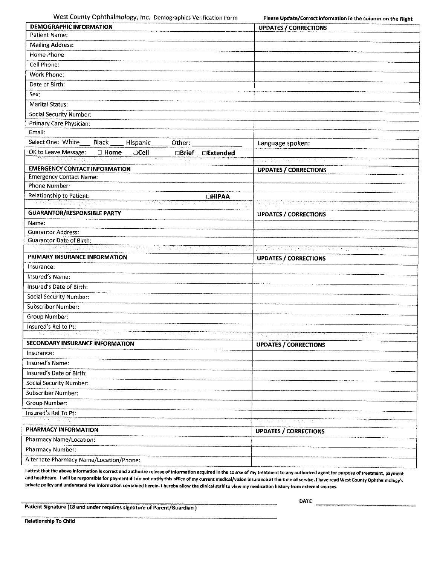West County Ophthalmology, Inc. Demographics Verification Form

Please Update/Correct information in the column on the Right

| <b>DEMOGRAPHIC INFORMATION</b>                                                                                                                  | <b>UPDATES / CORRECTIONS</b>                  |  |  |  |
|-------------------------------------------------------------------------------------------------------------------------------------------------|-----------------------------------------------|--|--|--|
| Patient Name:                                                                                                                                   |                                               |  |  |  |
| <b>Mailing Address:</b>                                                                                                                         |                                               |  |  |  |
| Home Phone:                                                                                                                                     |                                               |  |  |  |
| Cell Phone:                                                                                                                                     |                                               |  |  |  |
| Work Phone:                                                                                                                                     |                                               |  |  |  |
| Date of Birth:                                                                                                                                  |                                               |  |  |  |
| Sex:                                                                                                                                            |                                               |  |  |  |
| <b>Marital Status:</b>                                                                                                                          |                                               |  |  |  |
| <b>Social Security Number:</b>                                                                                                                  |                                               |  |  |  |
| Primary Care Physician:                                                                                                                         |                                               |  |  |  |
| Email:                                                                                                                                          |                                               |  |  |  |
| Select One: White<br><b>Black</b><br>Hispanic<br>Other:                                                                                         | Language spoken:                              |  |  |  |
| OK to Leave Message:<br>$\square$ Cell<br><b>C</b> Home<br><b>OBrief</b><br><b>□Extended</b>                                                    |                                               |  |  |  |
|                                                                                                                                                 | <u>in grind and an an</u> and a               |  |  |  |
| <b>EMERGENCY CONTACT INFORMATION</b><br><b>Emergency Contact Name:</b>                                                                          | <b>UPDATES / CORRECTIONS</b>                  |  |  |  |
| <b>Phone Number:</b>                                                                                                                            |                                               |  |  |  |
| Relationship to Patient:                                                                                                                        |                                               |  |  |  |
| <b>DHIPAA</b><br><u>ta kasa mana mana ny kaodim-paositra 6222.</u><br>Ny faritr'ora dia GMT+1.<br>ਹਿਰਾ ਸਥਿਆ<br>it e stre<br>$\alpha=5/\sigma_0$ | 20 가을 100 중에 가장 100 가을 가지고 있다.<br>e travella  |  |  |  |
| <b>GUARANTOR/RESPONSIBLE PARTY</b>                                                                                                              | <b>UPDATES / CORRECTIONS</b>                  |  |  |  |
| Name:                                                                                                                                           |                                               |  |  |  |
| <b>Guarantor Address:</b>                                                                                                                       |                                               |  |  |  |
| <b>Guarantor Date of Birth:</b>                                                                                                                 |                                               |  |  |  |
| <u> 1994 ya Kama ya mwaka wa Fisikia matao wa Kama ya K</u><br>너 왜 왜 그리고 있어 있어                                                                  | <u> 1999 - Francis Marie Company, mandala</u> |  |  |  |
| PRIMARY INSURANCE INFORMATION                                                                                                                   | <b>UPDATES / CORRECTIONS</b>                  |  |  |  |
| Insurance:                                                                                                                                      |                                               |  |  |  |
| Insured's Name:                                                                                                                                 |                                               |  |  |  |
| Insured's Date of Birth:                                                                                                                        |                                               |  |  |  |
| <b>Social Security Number:</b>                                                                                                                  |                                               |  |  |  |
| Subscriber Number:                                                                                                                              |                                               |  |  |  |
| Group Number:                                                                                                                                   |                                               |  |  |  |
| Insured's Rel to Pt:                                                                                                                            |                                               |  |  |  |
| it was to silk a<br>23 - 그리고 기울 때<br>क राष्ट्रपद्धाः अस<br><b>SECONDARY INSURANCE INFORMATION</b>                                               | 아직 지금 사고 사회가 대화한<br>大きない                      |  |  |  |
|                                                                                                                                                 | <b>UPDATES / CORRECTIONS</b>                  |  |  |  |
| Insurance:<br>Insured's Name:                                                                                                                   |                                               |  |  |  |
|                                                                                                                                                 |                                               |  |  |  |
| Insured's Date of Birth:                                                                                                                        |                                               |  |  |  |
| <b>Social Security Number:</b>                                                                                                                  |                                               |  |  |  |
| <b>Subscriber Number:</b>                                                                                                                       |                                               |  |  |  |
| Group Number:                                                                                                                                   |                                               |  |  |  |
| Insured's Rel To Pt:<br>13, 김 남의 소리 기업 개인                                                                                                       |                                               |  |  |  |
|                                                                                                                                                 |                                               |  |  |  |
| PHARMACY INFORMATION                                                                                                                            | 이 아직 이렇게 아직 게                                 |  |  |  |
| Pharmacy Name/Location:                                                                                                                         | <b>UPDATES / CORRECTIONS</b>                  |  |  |  |
| Pharmacy Number:                                                                                                                                |                                               |  |  |  |
| Alternate Pharmacy Name/Location/Phone:                                                                                                         |                                               |  |  |  |

i attest that the above information is correct and authorize release of information acquired in the course of my treatment to any authorized agent for purpose of treatment, payment and healthcare. I will be responsible for payment if I do not notify this office of my current medical/vision insurance at the time of service. I have read West County Ophthaimology's private policy and understand the information contained herein. I hereby allow the clinical staff to vlew my medication history from external sources.

Patient Signature (18 and under requires signature of Parent/Guardian)

DATE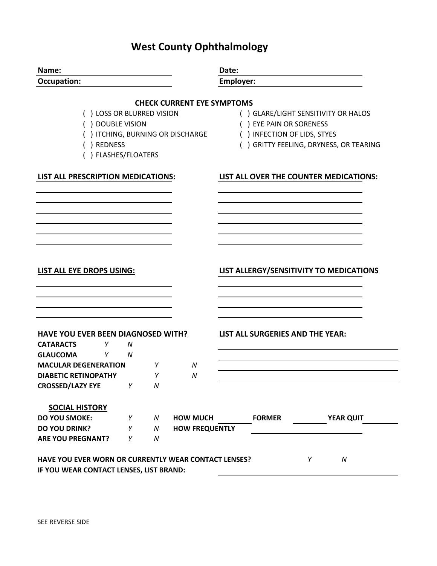# **West County Ophthalmology**

| Name:                                                |                                                        | Date:            |               |                                         |  |  |
|------------------------------------------------------|--------------------------------------------------------|------------------|---------------|-----------------------------------------|--|--|
| <b>Occupation:</b>                                   |                                                        | <b>Employer:</b> |               |                                         |  |  |
|                                                      | <b>CHECK CURRENT EYE SYMPTOMS</b>                      |                  |               |                                         |  |  |
| () LOSS OR BLURRED VISION                            |                                                        |                  |               | () GLARE/LIGHT SENSITIVITY OR HALOS     |  |  |
| () DOUBLE VISION                                     |                                                        |                  |               |                                         |  |  |
| () ITCHING, BURNING OR DISCHARGE                     | () EYE PAIN OR SORENESS<br>() INFECTION OF LIDS, STYES |                  |               |                                         |  |  |
| () REDNESS                                           | () GRITTY FEELING, DRYNESS, OR TEARING                 |                  |               |                                         |  |  |
| () FLASHES/FLOATERS                                  |                                                        |                  |               |                                         |  |  |
| LIST ALL PRESCRIPTION MEDICATIONS:                   |                                                        |                  |               | LIST ALL OVER THE COUNTER MEDICATIONS:  |  |  |
|                                                      |                                                        |                  |               |                                         |  |  |
|                                                      |                                                        |                  |               |                                         |  |  |
|                                                      |                                                        |                  |               |                                         |  |  |
|                                                      |                                                        |                  |               |                                         |  |  |
|                                                      |                                                        |                  |               |                                         |  |  |
|                                                      |                                                        |                  |               |                                         |  |  |
| LIST ALL EYE DROPS USING:                            |                                                        |                  |               | LIST ALLERGY/SENSITIVITY TO MEDICATIONS |  |  |
|                                                      |                                                        |                  |               |                                         |  |  |
|                                                      |                                                        |                  |               |                                         |  |  |
|                                                      |                                                        |                  |               |                                         |  |  |
| <b>HAVE YOU EVER BEEN DIAGNOSED WITH?</b>            |                                                        |                  |               | <b>LIST ALL SURGERIES AND THE YEAR:</b> |  |  |
| <b>CATARACTS</b><br>Y<br>N                           |                                                        |                  |               |                                         |  |  |
| <b>GLAUCOMA</b><br>Y<br>N                            |                                                        |                  |               |                                         |  |  |
| <b>MACULAR DEGENERATION</b><br>Y                     | N                                                      |                  |               |                                         |  |  |
| <b>DIABETIC RETINOPATHY</b><br>Y                     | N                                                      |                  |               |                                         |  |  |
| <b>CROSSED/LAZY EYE</b><br>$\mathsf{Y}$<br>N         |                                                        |                  |               |                                         |  |  |
| <b>SOCIAL HISTORY</b>                                |                                                        |                  |               |                                         |  |  |
| <b>DO YOU SMOKE:</b><br>Y<br>N                       | <b>HOW MUCH</b>                                        |                  | <b>FORMER</b> | <b>YEAR QUIT</b>                        |  |  |
| <b>DO YOU DRINK?</b><br>${\cal N}$<br>Υ              | <b>HOW FREQUENTLY</b>                                  |                  |               |                                         |  |  |
| <b>ARE YOU PREGNANT?</b><br>Y<br>N                   |                                                        |                  |               |                                         |  |  |
|                                                      |                                                        |                  |               |                                         |  |  |
| HAVE YOU EVER WORN OR CURRENTLY WEAR CONTACT LENSES? |                                                        |                  |               | Y<br>$\boldsymbol{N}$                   |  |  |
| IF YOU WEAR CONTACT LENSES, LIST BRAND:              |                                                        |                  |               |                                         |  |  |